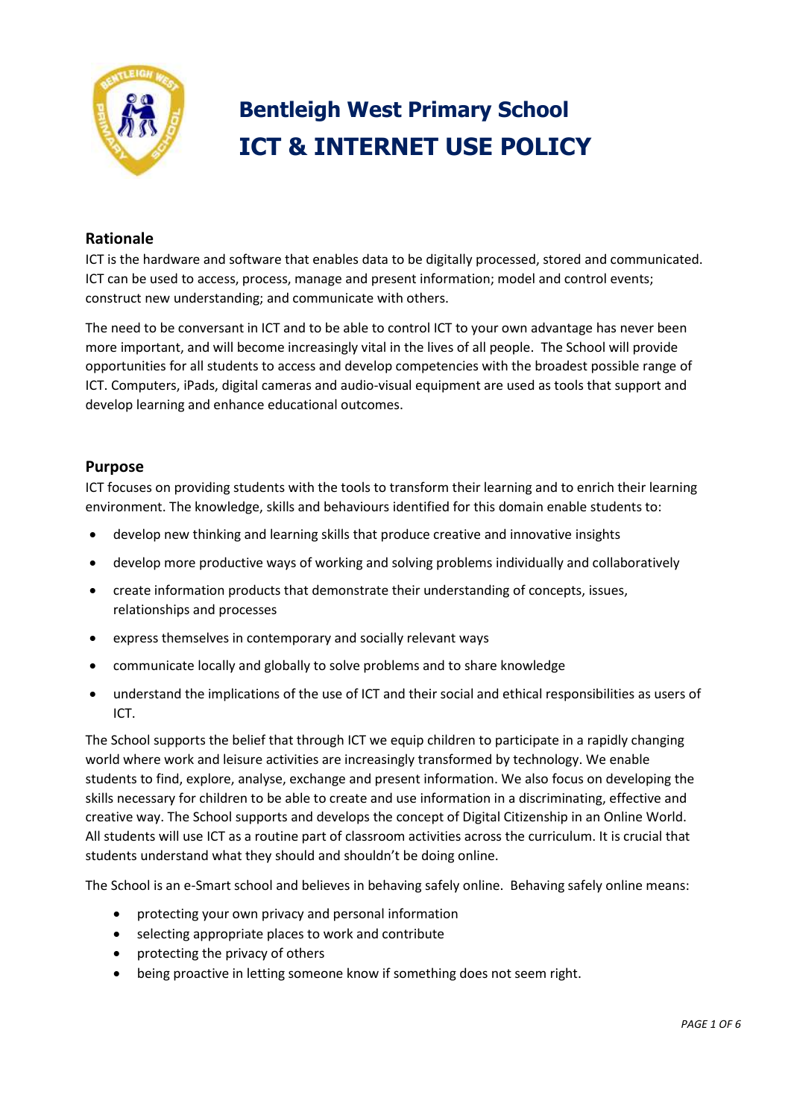

### **Bentleigh West Primary School ICT & INTERNET USE POLICY**

### **Rationale**

ICT is the hardware and software that enables data to be digitally processed, stored and communicated. ICT can be used to access, process, manage and present information; model and control events; construct new understanding; and communicate with others.

The need to be conversant in ICT and to be able to control ICT to your own advantage has never been more important, and will become increasingly vital in the lives of all people. The School will provide opportunities for all students to access and develop competencies with the broadest possible range of ICT. Computers, iPads, digital cameras and audio-visual equipment are used as tools that support and develop learning and enhance educational outcomes.

### **Purpose**

ICT focuses on providing students with the tools to transform their learning and to enrich their learning environment. The knowledge, skills and behaviours identified for this domain enable students to:

- develop new thinking and learning skills that produce creative and innovative insights
- develop more productive ways of working and solving problems individually and collaboratively
- create information products that demonstrate their understanding of concepts, issues, relationships and processes
- express themselves in contemporary and socially relevant ways
- communicate locally and globally to solve problems and to share knowledge
- understand the implications of the use of ICT and their social and ethical responsibilities as users of ICT.

The School supports the belief that through ICT we equip children to participate in a rapidly changing world where work and leisure activities are increasingly transformed by technology. We enable students to find, explore, analyse, exchange and present information. We also focus on developing the skills necessary for children to be able to create and use information in a discriminating, effective and creative way. The School supports and develops the concept of Digital Citizenship in an Online World. All students will use ICT as a routine part of classroom activities across the curriculum. It is crucial that students understand what they should and shouldn't be doing online.

The School is an e-Smart school and believes in behaving safely online. Behaving safely online means:

- protecting your own privacy and personal information
- selecting appropriate places to work and contribute
- protecting the privacy of others
- being proactive in letting someone know if something does not seem right.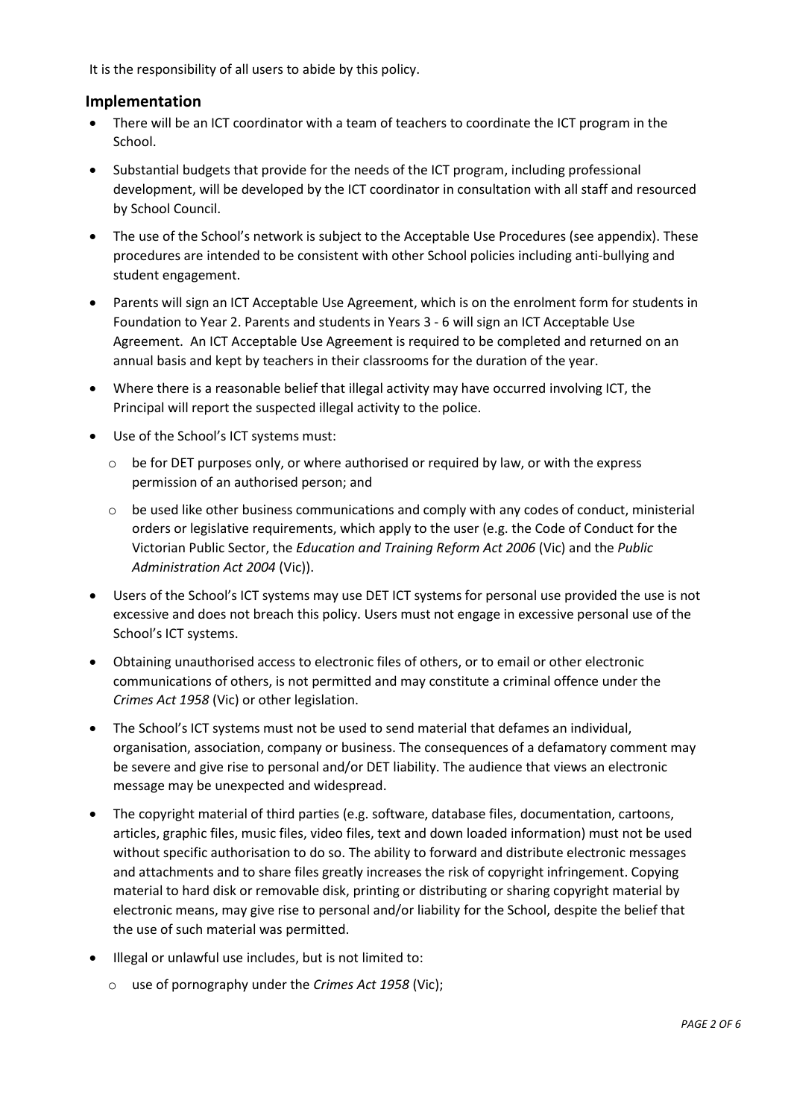It is the responsibility of all users to abide by this policy.

### **Implementation**

- There will be an ICT coordinator with a team of teachers to coordinate the ICT program in the School.
- Substantial budgets that provide for the needs of the ICT program, including professional development, will be developed by the ICT coordinator in consultation with all staff and resourced by School Council.
- The use of the School's network is subject to the Acceptable Use Procedures (see appendix). These procedures are intended to be consistent with other School policies including anti-bullying and student engagement.
- Parents will sign an ICT Acceptable Use Agreement, which is on the enrolment form for students in Foundation to Year 2. Parents and students in Years 3 - 6 will sign an ICT Acceptable Use Agreement. An ICT Acceptable Use Agreement is required to be completed and returned on an annual basis and kept by teachers in their classrooms for the duration of the year.
- Where there is a reasonable belief that illegal activity may have occurred involving ICT, the Principal will report the suspected illegal activity to the police.
- Use of the School's ICT systems must:
	- $\circ$  be for DET purposes only, or where authorised or required by law, or with the express permission of an authorised person; and
	- $\circ$  be used like other business communications and comply with any codes of conduct, ministerial orders or legislative requirements, which apply to the user (e.g. the Code of Conduct for the Victorian Public Sector, the *Education and Training Reform Act 2006* (Vic) and the *Public Administration Act 2004* (Vic)).
- Users of the School's ICT systems may use DET ICT systems for personal use provided the use is not excessive and does not breach this policy. Users must not engage in excessive personal use of the School's ICT systems.
- Obtaining unauthorised access to electronic files of others, or to email or other electronic communications of others, is not permitted and may constitute a criminal offence under the *Crimes Act 1958* (Vic) or other legislation.
- The School's ICT systems must not be used to send material that defames an individual, organisation, association, company or business. The consequences of a defamatory comment may be severe and give rise to personal and/or DET liability. The audience that views an electronic message may be unexpected and widespread.
- The copyright material of third parties (e.g. software, database files, documentation, cartoons, articles, graphic files, music files, video files, text and down loaded information) must not be used without specific authorisation to do so. The ability to forward and distribute electronic messages and attachments and to share files greatly increases the risk of copyright infringement. Copying material to hard disk or removable disk, printing or distributing or sharing copyright material by electronic means, may give rise to personal and/or liability for the School, despite the belief that the use of such material was permitted.
- Illegal or unlawful use includes, but is not limited to:
	- o use of pornography under the *Crimes Act 1958* (Vic);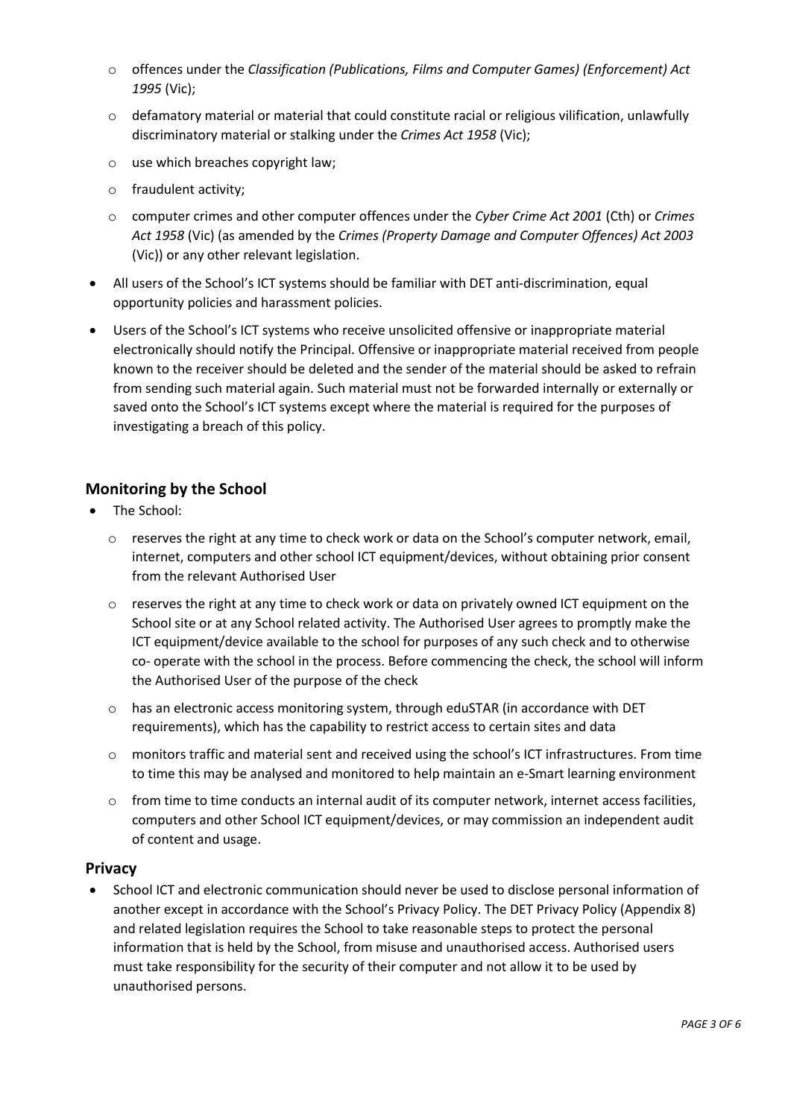- o offences under the *Classification (Publications, Films and Computer Games) (Enforcement) Act 1995* (Vic);
- $\circ$  defamatory material or material that could constitute racial or religious vilification, unlawfully discriminatory material or stalking under the *Crimes Act 1958* (Vic);
- o use which breaches copyright law;
- o fraudulent activity;
- o computer crimes and other computer offences under the *Cyber Crime Act 2001* (Cth) or *Crimes Act 1958* (Vic) (as amended by the *Crimes (Property Damage and Computer Offences) Act 2003*  (Vic)) or any other relevant legislation.
- All users of the School's ICT systems should be familiar with DET anti-discrimination, equal opportunity policies and harassment policies.
- Users of the School's ICT systems who receive unsolicited offensive or inappropriate material electronically should notify the Principal. Offensive or inappropriate material received from people known to the receiver should be deleted and the sender of the material should be asked to refrain from sending such material again. Such material must not be forwarded internally or externally or saved onto the School's ICT systems except where the material is required for the purposes of investigating a breach of this policy.

### **Monitoring by the School**

- The School:
	- o reserves the right at any time to check work or data on the School's computer network, email, internet, computers and other school ICT equipment/devices, without obtaining prior consent from the relevant Authorised User
	- $\circ$  reserves the right at any time to check work or data on privately owned ICT equipment on the School site or at any School related activity. The Authorised User agrees to promptly make the ICT equipment/device available to the school for purposes of any such check and to otherwise co- operate with the school in the process. Before commencing the check, the school will inform the Authorised User of the purpose of the check
	- o has an electronic access monitoring system, through eduSTAR (in accordance with DET requirements), which has the capability to restrict access to certain sites and data
	- $\circ$  monitors traffic and material sent and received using the school's ICT infrastructures. From time to time this may be analysed and monitored to help maintain an e-Smart learning environment
	- o from time to time conducts an internal audit of its computer network, internet access facilities, computers and other School ICT equipment/devices, or may commission an independent audit of content and usage.

### **Privacy**

 School ICT and electronic communication should never be used to disclose personal information of another except in accordance with the School's Privacy Policy. The DET Privacy Policy (Appendix 8) and related legislation requires the School to take reasonable steps to protect the personal information that is held by the School, from misuse and unauthorised access. Authorised users must take responsibility for the security of their computer and not allow it to be used by unauthorised persons.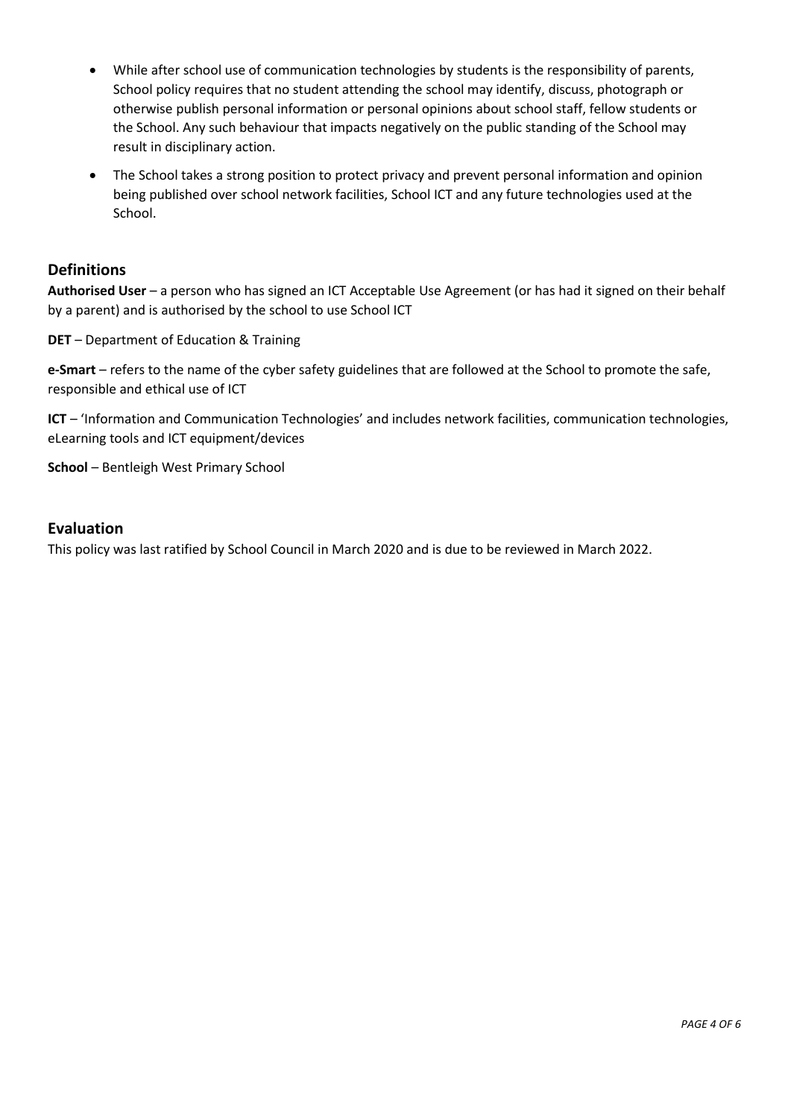- While after school use of communication technologies by students is the responsibility of parents, School policy requires that no student attending the school may identify, discuss, photograph or otherwise publish personal information or personal opinions about school staff, fellow students or the School. Any such behaviour that impacts negatively on the public standing of the School may result in disciplinary action.
- The School takes a strong position to protect privacy and prevent personal information and opinion being published over school network facilities, School ICT and any future technologies used at the School.

### **Definitions**

**Authorised User** – a person who has signed an ICT Acceptable Use Agreement (or has had it signed on their behalf by a parent) and is authorised by the school to use School ICT

**DET** – Department of Education & Training

**e-Smart** – refers to the name of the cyber safety guidelines that are followed at the School to promote the safe, responsible and ethical use of ICT

**ICT** – 'Information and Communication Technologies' and includes network facilities, communication technologies, eLearning tools and ICT equipment/devices

**School** – Bentleigh West Primary School

### **Evaluation**

This policy was last ratified by School Council in March 2020 and is due to be reviewed in March 2022.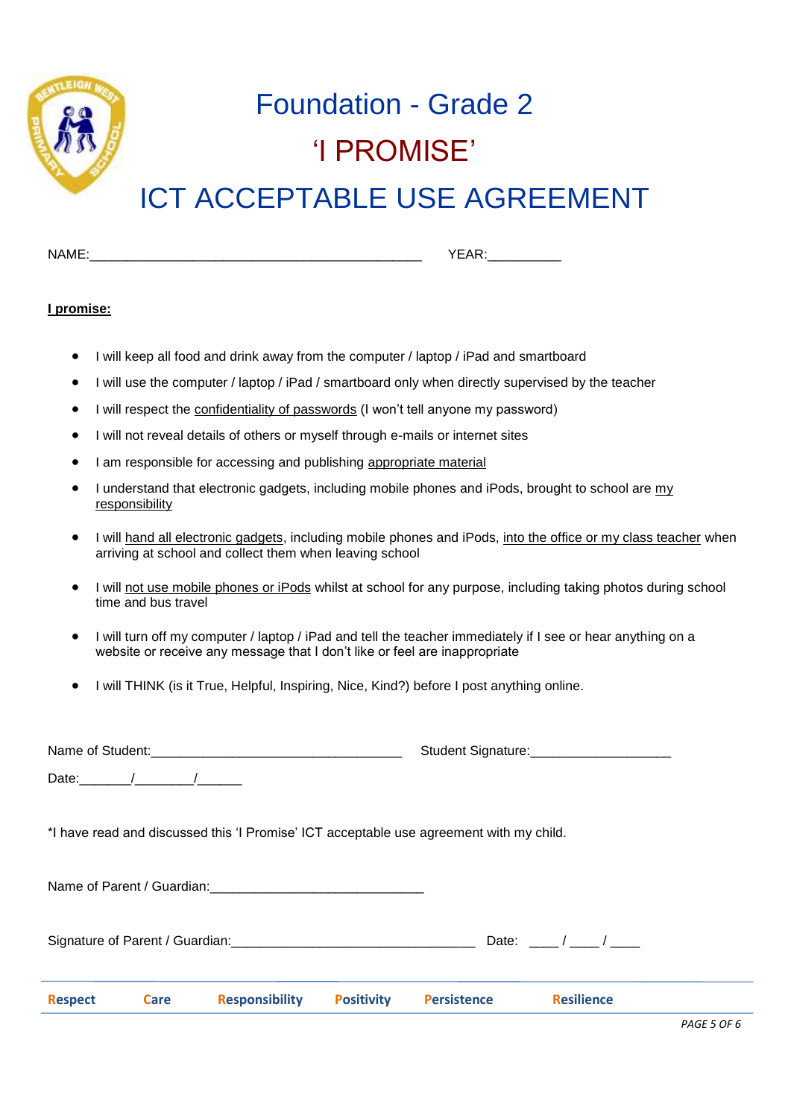

## Foundation - Grade 2 'I PROMISE'

## ICT ACCEPTABLE USE AGREEMENT

| <b>NIA</b><br>N<br>. |  |
|----------------------|--|
|                      |  |

#### **I promise:**

- I will keep all food and drink away from the computer / laptop / iPad and smartboard
- I will use the computer / laptop / iPad / smartboard only when directly supervised by the teacher
- I will respect the confidentiality of passwords (I won't tell anyone my password)
- I will not reveal details of others or myself through e-mails or internet sites
- I am responsible for accessing and publishing appropriate material
- I understand that electronic gadgets, including mobile phones and iPods, brought to school are my responsibility
- I will hand all electronic gadgets, including mobile phones and iPods, into the office or my class teacher when arriving at school and collect them when leaving school
- I will not use mobile phones or iPods whilst at school for any purpose, including taking photos during school time and bus travel
- I will turn off my computer / laptop / iPad and tell the teacher immediately if I see or hear anything on a website or receive any message that I don't like or feel are inappropriate
- I will THINK (is it True, Helpful, Inspiring, Nice, Kind?) before I post anything online.

| <b>Respect</b> | <b>Care</b> | <b>Responsibility</b>                                                                   | <b>Positivity</b>                        | <b>Persistence</b> | <b>Resilience</b>          |  |  |
|----------------|-------------|-----------------------------------------------------------------------------------------|------------------------------------------|--------------------|----------------------------|--|--|
|                |             |                                                                                         |                                          |                    | Date: $\frac{1}{\sqrt{2}}$ |  |  |
|                |             |                                                                                         |                                          |                    |                            |  |  |
|                |             | *I have read and discussed this 'I Promise' ICT acceptable use agreement with my child. |                                          |                    |                            |  |  |
|                |             |                                                                                         |                                          |                    |                            |  |  |
|                |             |                                                                                         | Student Signature:<br><u> Example 20</u> |                    |                            |  |  |